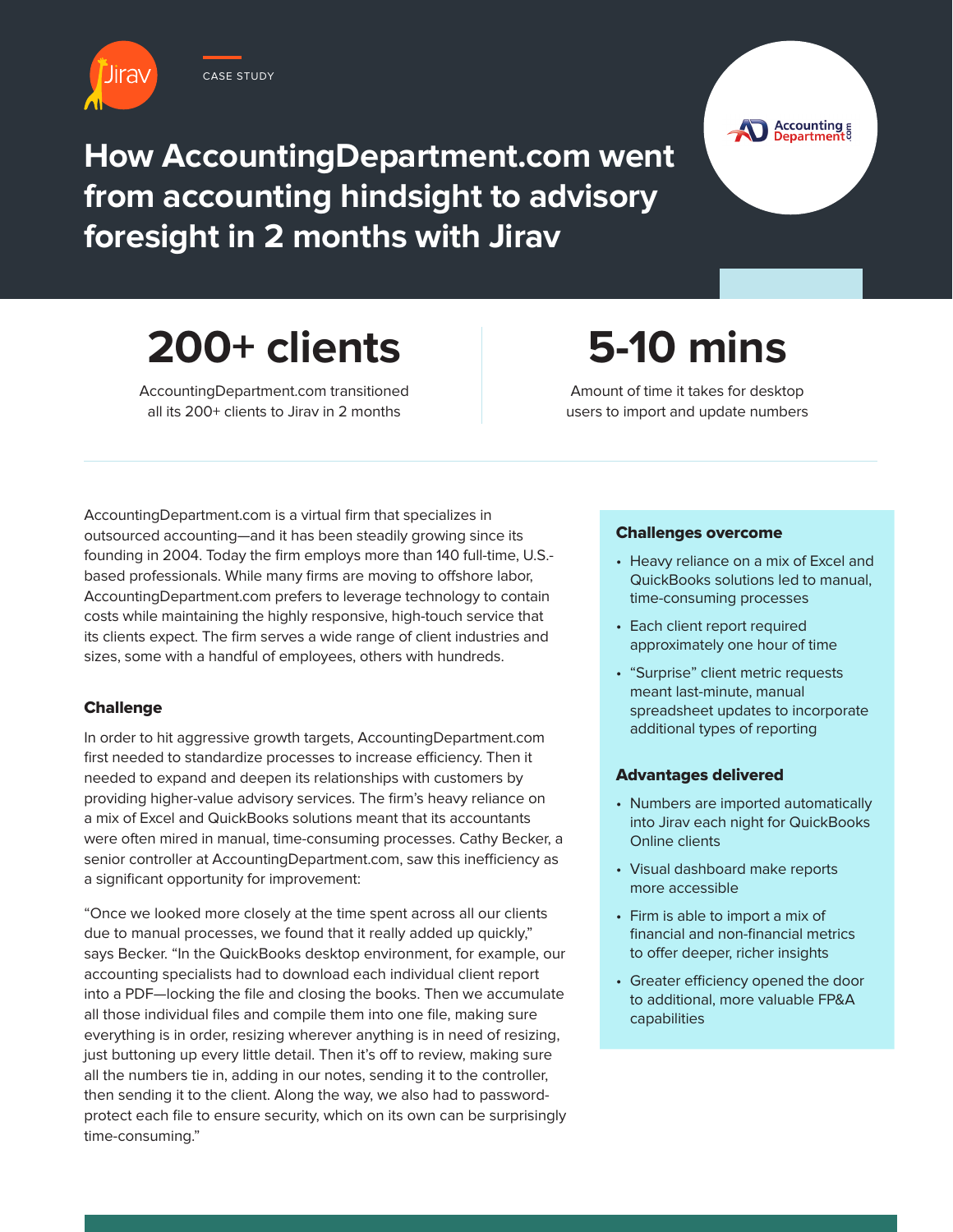

CASE STUDY





AccountingDepartment.com transitioned all its 200+ clients to Jirav in 2 months

## **5-10 mins**

Amount of time it takes for desktop users to import and update numbers

AccountingDepartment.com is a virtual firm that specializes in outsourced accounting—and it has been steadily growing since its founding in 2004. Today the firm employs more than 140 full-time, U.S. based professionals. While many firms are moving to offshore labor, AccountingDepartment.com prefers to leverage technology to contain costs while maintaining the highly responsive, high-touch service that its clients expect. The firm serves a wide range of client industries and sizes, some with a handful of employees, others with hundreds.

#### **Challenge**

In order to hit aggressive growth targets, AccountingDepartment.com first needed to standardize processes to increase efficiency. Then it needed to expand and deepen its relationships with customers by providing higher-value advisory services. The firm's heavy reliance on a mix of Excel and QuickBooks solutions meant that its accountants were often mired in manual, time-consuming processes. Cathy Becker, a senior controller at AccountingDepartment.com, saw this inefficiency as a significant opportunity for improvement:

"Once we looked more closely at the time spent across all our clients due to manual processes, we found that it really added up quickly," says Becker. "In the QuickBooks desktop environment, for example, our accounting specialists had to download each individual client report into a PDF—locking the file and closing the books. Then we accumulate all those individual files and compile them into one file, making sure everything is in order, resizing wherever anything is in need of resizing, just buttoning up every little detail. Then it's off to review, making sure all the numbers tie in, adding in our notes, sending it to the controller, then sending it to the client. Along the way, we also had to passwordprotect each file to ensure security, which on its own can be surprisingly time-consuming."

#### Challenges overcome

• Heavy reliance on a mix of Excel and QuickBooks solutions led to manual, time-consuming processes

**Accounting & Department<sup>8</sup>** 

- Each client report required approximately one hour of time
- "Surprise" client metric requests meant last-minute, manual spreadsheet updates to incorporate additional types of reporting

#### Advantages delivered

- Numbers are imported automatically into Jirav each night for QuickBooks Online clients
- Visual dashboard make reports more accessible
- Firm is able to import a mix of financial and non-financial metrics to offer deeper, richer insights
- Greater efficiency opened the door to additional, more valuable FP&A capabilities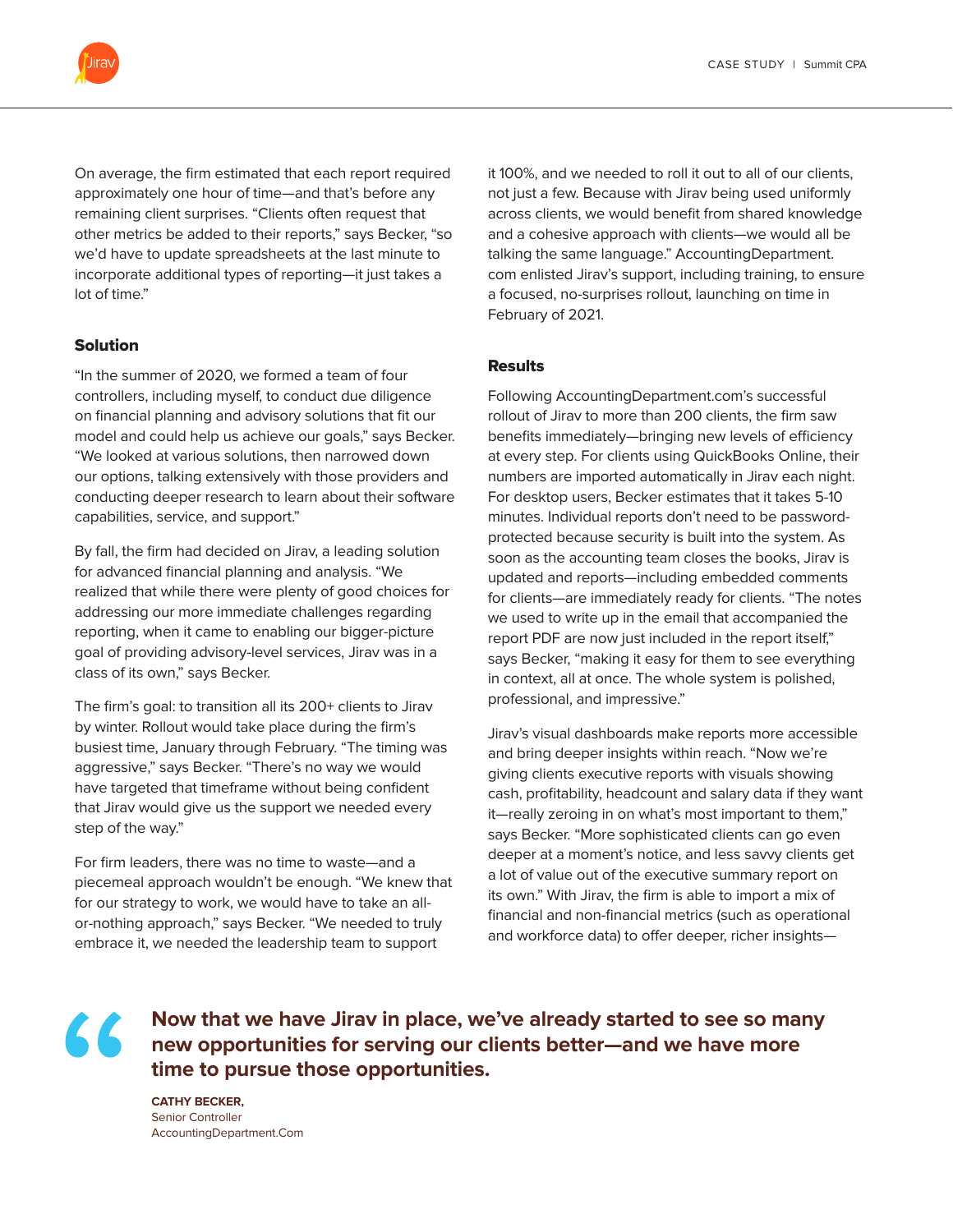On average, the firm estimated that each report required approximately one hour of time—and that's before any remaining client surprises. "Clients often request that other metrics be added to their reports," says Becker, "so we'd have to update spreadsheets at the last minute to incorporate additional types of reporting—it just takes a lot of time."

#### Solution

"In the summer of 2020, we formed a team of four controllers, including myself, to conduct due diligence on financial planning and advisory solutions that fit our model and could help us achieve our goals," says Becker. "We looked at various solutions, then narrowed down our options, talking extensively with those providers and conducting deeper research to learn about their software capabilities, service, and support."

By fall, the firm had decided on Jirav, a leading solution for advanced financial planning and analysis. "We realized that while there were plenty of good choices for addressing our more immediate challenges regarding reporting, when it came to enabling our bigger-picture goal of providing advisory-level services, Jirav was in a class of its own," says Becker.

The firm's goal: to transition all its 200+ clients to Jirav by winter. Rollout would take place during the firm's busiest time, January through February. "The timing was aggressive," says Becker. "There's no way we would have targeted that timeframe without being confident that Jirav would give us the support we needed every step of the way."

For firm leaders, there was no time to waste—and a piecemeal approach wouldn't be enough. "We knew that for our strategy to work, we would have to take an allor-nothing approach," says Becker. "We needed to truly embrace it, we needed the leadership team to support

it 100%, and we needed to roll it out to all of our clients, not just a few. Because with Jirav being used uniformly across clients, we would benefit from shared knowledge and a cohesive approach with clients—we would all be talking the same language." AccountingDepartment. com enlisted Jirav's support, including training, to ensure a focused, no-surprises rollout, launching on time in February of 2021.

#### **Results**

Following AccountingDepartment.com's successful rollout of Jirav to more than 200 clients, the firm saw benefits immediately—bringing new levels of efficiency at every step. For clients using QuickBooks Online, their numbers are imported automatically in Jirav each night. For desktop users, Becker estimates that it takes 5-10 minutes. Individual reports don't need to be passwordprotected because security is built into the system. As soon as the accounting team closes the books, Jirav is updated and reports—including embedded comments for clients—are immediately ready for clients. "The notes we used to write up in the email that accompanied the report PDF are now just included in the report itself," says Becker, "making it easy for them to see everything in context, all at once. The whole system is polished, professional, and impressive."

Jirav's visual dashboards make reports more accessible and bring deeper insights within reach. "Now we're giving clients executive reports with visuals showing cash, profitability, headcount and salary data if they want it—really zeroing in on what's most important to them," says Becker. "More sophisticated clients can go even deeper at a moment's notice, and less savvy clients get a lot of value out of the executive summary report on its own." With Jirav, the firm is able to import a mix of financial and non-financial metrics (such as operational and workforce data) to offer deeper, richer insights—

# $\mathbf{K}$

### **Now that we have Jirav in place, we've already started to see so many new opportunities for serving our clients better—and we have more time to pursue those opportunities.**

**CATHY BECKER,** Senior Controller AccountingDepartment.Com